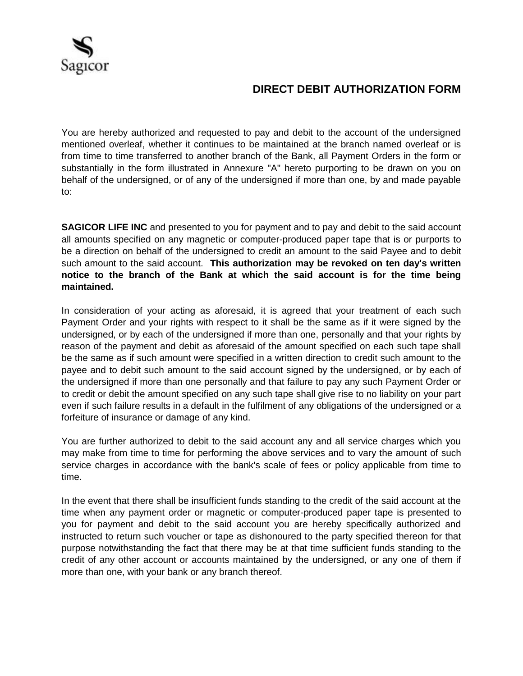

## **DIRECT DEBIT AUTHORIZATION FORM**

You are hereby authorized and requested to pay and debit to the account of the undersigned mentioned overleaf, whether it continues to be maintained at the branch named overleaf or is from time to time transferred to another branch of the Bank, all Payment Orders in the form or substantially in the form illustrated in Annexure "A" hereto purporting to be drawn on you on behalf of the undersigned, or of any of the undersigned if more than one, by and made payable to:

**SAGICOR LIFE INC** and presented to you for payment and to pay and debit to the said account all amounts specified on any magnetic or computer-produced paper tape that is or purports to be a direction on behalf of the undersigned to credit an amount to the said Payee and to debit such amount to the said account. **This authorization may be revoked on ten day's written notice to the branch of the Bank at which the said account is for the time being maintained.**

In consideration of your acting as aforesaid, it is agreed that your treatment of each such Payment Order and your rights with respect to it shall be the same as if it were signed by the undersigned, or by each of the undersigned if more than one, personally and that your rights by reason of the payment and debit as aforesaid of the amount specified on each such tape shall be the same as if such amount were specified in a written direction to credit such amount to the payee and to debit such amount to the said account signed by the undersigned, or by each of the undersigned if more than one personally and that failure to pay any such Payment Order or to credit or debit the amount specified on any such tape shall give rise to no liability on your part even if such failure results in a default in the fulfilment of any obligations of the undersigned or a forfeiture of insurance or damage of any kind.

You are further authorized to debit to the said account any and all service charges which you may make from time to time for performing the above services and to vary the amount of such service charges in accordance with the bank's scale of fees or policy applicable from time to time.

In the event that there shall be insufficient funds standing to the credit of the said account at the time when any payment order or magnetic or computer-produced paper tape is presented to you for payment and debit to the said account you are hereby specifically authorized and instructed to return such voucher or tape as dishonoured to the party specified thereon for that purpose notwithstanding the fact that there may be at that time sufficient funds standing to the credit of any other account or accounts maintained by the undersigned, or any one of them if more than one, with your bank or any branch thereof.